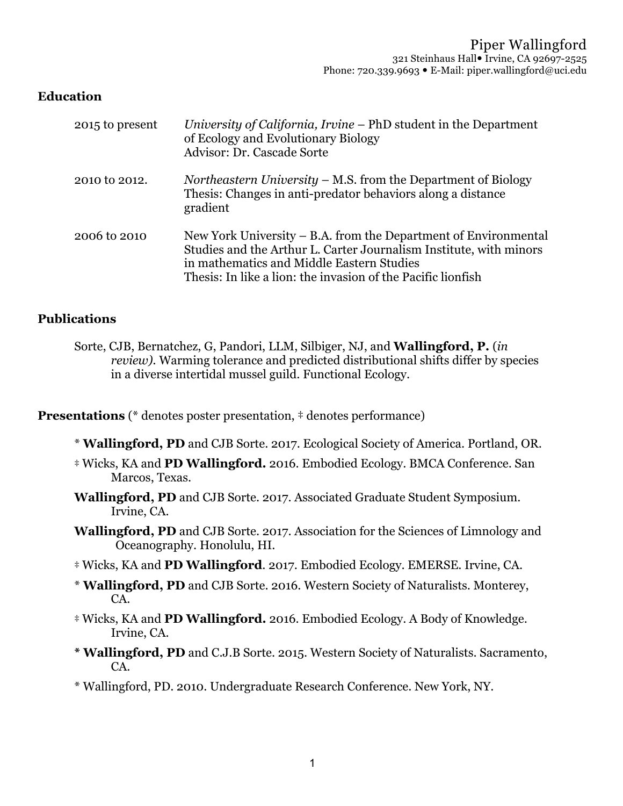### **Education**

| 2015 to present | University of California, Irvine – PhD student in the Department<br>of Ecology and Evolutionary Biology<br>Advisor: Dr. Cascade Sorte                                                                                                              |
|-----------------|----------------------------------------------------------------------------------------------------------------------------------------------------------------------------------------------------------------------------------------------------|
| 2010 to 2012.   | <i>Northeastern University – M.S.</i> from the Department of Biology<br>Thesis: Changes in anti-predator behaviors along a distance<br>gradient                                                                                                    |
| 2006 to 2010    | New York University – B.A. from the Department of Environmental<br>Studies and the Arthur L. Carter Journalism Institute, with minors<br>in mathematics and Middle Eastern Studies<br>Thesis: In like a lion: the invasion of the Pacific lionfish |

### **Publications**

**Presentations** (\* denotes poster presentation,  $\ddot{\phi}$  denotes performance)

- \* **Wallingford, PD** and CJB Sorte. 2017. Ecological Society of America. Portland, OR.
- ‡ Wicks, KA and **PD Wallingford.** 2016. Embodied Ecology. BMCA Conference. San Marcos, Texas.
- **Wallingford, PD** and CJB Sorte. 2017. Associated Graduate Student Symposium. Irvine, CA.
- **Wallingford, PD** and CJB Sorte. 2017. Association for the Sciences of Limnology and Oceanography. Honolulu, HI.
- ‡ Wicks, KA and **PD Wallingford**. 2017. Embodied Ecology. EMERSE. Irvine, CA.
- \* **Wallingford, PD** and CJB Sorte. 2016. Western Society of Naturalists. Monterey, CA.
- ‡ Wicks, KA and **PD Wallingford.** 2016. Embodied Ecology. A Body of Knowledge. Irvine, CA.
- **\* Wallingford, PD** and C.J.B Sorte. 2015. Western Society of Naturalists. Sacramento, CA.
- \* Wallingford, PD. 2010. Undergraduate Research Conference. New York, NY.

Sorte, CJB, Bernatchez, G, Pandori, LLM, Silbiger, NJ, and **Wallingford, P.** (*in review).* Warming tolerance and predicted distributional shifts differ by species in a diverse intertidal mussel guild. Functional Ecology.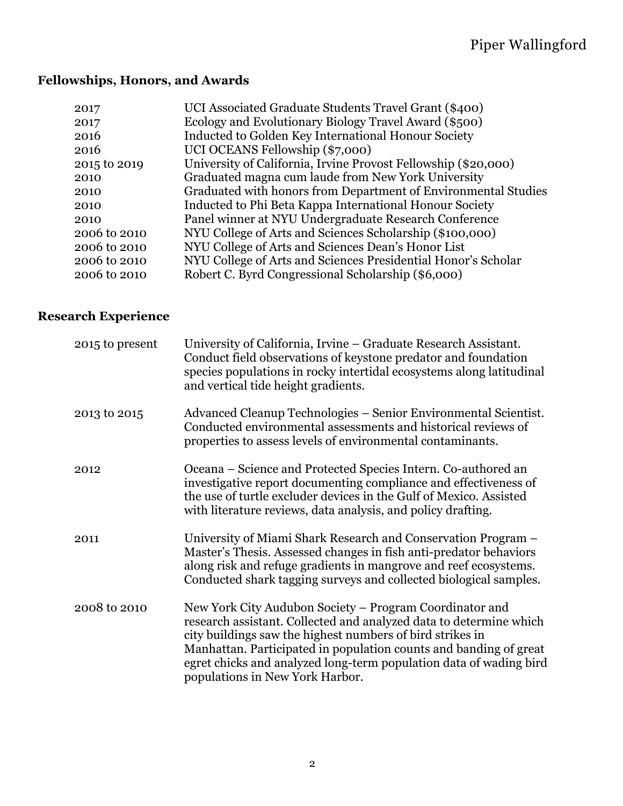# **Fellowships, Honors, and Awards**

| 2017         | UCI Associated Graduate Students Travel Grant (\$400)          |
|--------------|----------------------------------------------------------------|
| 2017         | Ecology and Evolutionary Biology Travel Award (\$500)          |
| 2016         | Inducted to Golden Key International Honour Society            |
| 2016         | UCI OCEANS Fellowship (\$7,000)                                |
| 2015 to 2019 | University of California, Irvine Provost Fellowship (\$20,000) |
| 2010         | Graduated magna cum laude from New York University             |
| 2010         | Graduated with honors from Department of Environmental Studies |
| 2010         | Inducted to Phi Beta Kappa International Honour Society        |
| 2010         | Panel winner at NYU Undergraduate Research Conference          |
| 2006 to 2010 | NYU College of Arts and Sciences Scholarship (\$100,000)       |
| 2006 to 2010 | NYU College of Arts and Sciences Dean's Honor List             |
| 2006 to 2010 | NYU College of Arts and Sciences Presidential Honor's Scholar  |
| 2006 to 2010 | Robert C. Byrd Congressional Scholarship (\$6,000)             |

# **Research Experience**

| 2015 to present | University of California, Irvine – Graduate Research Assistant.<br>Conduct field observations of keystone predator and foundation<br>species populations in rocky intertidal ecosystems along latitudinal<br>and vertical tide height gradients.                                                                                                                         |
|-----------------|--------------------------------------------------------------------------------------------------------------------------------------------------------------------------------------------------------------------------------------------------------------------------------------------------------------------------------------------------------------------------|
| 2013 to 2015    | Advanced Cleanup Technologies – Senior Environmental Scientist.<br>Conducted environmental assessments and historical reviews of<br>properties to assess levels of environmental contaminants.                                                                                                                                                                           |
| 2012            | Oceana – Science and Protected Species Intern. Co-authored an<br>investigative report documenting compliance and effectiveness of<br>the use of turtle excluder devices in the Gulf of Mexico. Assisted<br>with literature reviews, data analysis, and policy drafting.                                                                                                  |
| 2011            | University of Miami Shark Research and Conservation Program –<br>Master's Thesis. Assessed changes in fish anti-predator behaviors<br>along risk and refuge gradients in mangrove and reef ecosystems.<br>Conducted shark tagging surveys and collected biological samples.                                                                                              |
| 2008 to 2010    | New York City Audubon Society – Program Coordinator and<br>research assistant. Collected and analyzed data to determine which<br>city buildings saw the highest numbers of bird strikes in<br>Manhattan. Participated in population counts and banding of great<br>egret chicks and analyzed long-term population data of wading bird<br>populations in New York Harbor. |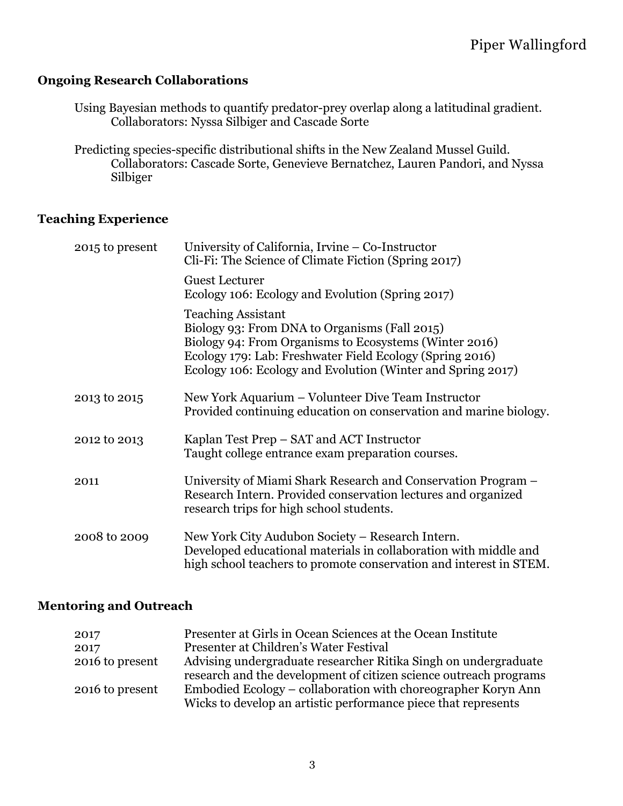## **Ongoing Research Collaborations**

Using Bayesian methods to quantify predator-prey overlap along a latitudinal gradient. Collaborators: Nyssa Silbiger and Cascade Sorte

Predicting species-specific distributional shifts in the New Zealand Mussel Guild. Collaborators: Cascade Sorte, Genevieve Bernatchez, Lauren Pandori, and Nyssa Silbiger

## **Teaching Experience**

| 2015 to present | University of California, Irvine – Co-Instructor<br>Cli-Fi: The Science of Climate Fiction (Spring 2017)                                                                                                                                                        |
|-----------------|-----------------------------------------------------------------------------------------------------------------------------------------------------------------------------------------------------------------------------------------------------------------|
|                 | <b>Guest Lecturer</b><br>Ecology 106: Ecology and Evolution (Spring 2017)                                                                                                                                                                                       |
|                 | <b>Teaching Assistant</b><br>Biology 93: From DNA to Organisms (Fall 2015)<br>Biology 94: From Organisms to Ecosystems (Winter 2016)<br>Ecology 179: Lab: Freshwater Field Ecology (Spring 2016)<br>Ecology 106: Ecology and Evolution (Winter and Spring 2017) |
| 2013 to 2015    | New York Aquarium – Volunteer Dive Team Instructor<br>Provided continuing education on conservation and marine biology.                                                                                                                                         |
| 2012 to 2013    | Kaplan Test Prep – SAT and ACT Instructor<br>Taught college entrance exam preparation courses.                                                                                                                                                                  |
| 2011            | University of Miami Shark Research and Conservation Program –<br>Research Intern. Provided conservation lectures and organized<br>research trips for high school students.                                                                                      |
| 2008 to 2009    | New York City Audubon Society - Research Intern.<br>Developed educational materials in collaboration with middle and<br>high school teachers to promote conservation and interest in STEM.                                                                      |

### **Mentoring and Outreach**

| 2017            | Presenter at Girls in Ocean Sciences at the Ocean Institute       |
|-----------------|-------------------------------------------------------------------|
| 2017            | Presenter at Children's Water Festival                            |
| 2016 to present | Advising undergraduate researcher Ritika Singh on undergraduate   |
|                 | research and the development of citizen science outreach programs |
| 2016 to present | Embodied Ecology – collaboration with choreographer Koryn Ann     |
|                 | Wicks to develop an artistic performance piece that represents    |